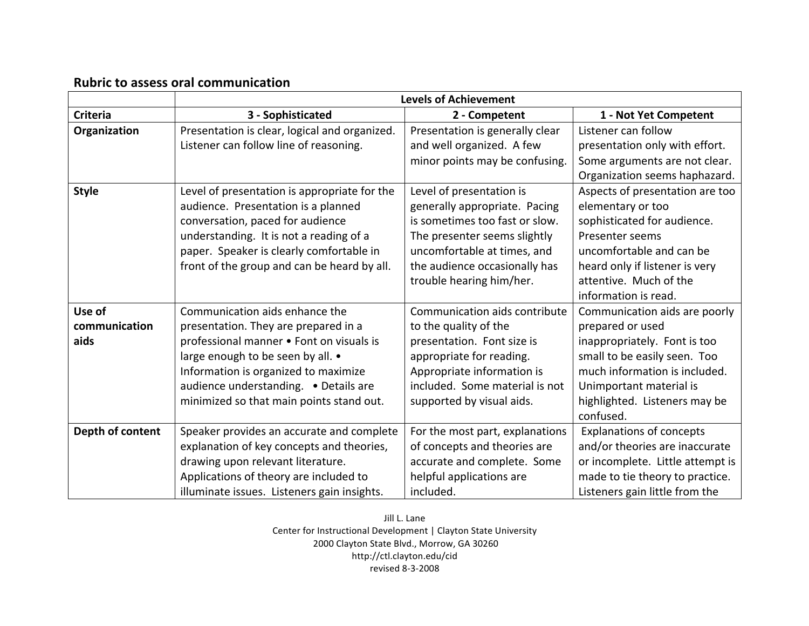## **Rubric to assess oral communication**

|                  | <b>Levels of Achievement</b>                  |                                 |                                  |
|------------------|-----------------------------------------------|---------------------------------|----------------------------------|
| <b>Criteria</b>  | 3 - Sophisticated                             | 2 - Competent                   | 1 - Not Yet Competent            |
| Organization     | Presentation is clear, logical and organized. | Presentation is generally clear | Listener can follow              |
|                  | Listener can follow line of reasoning.        | and well organized. A few       | presentation only with effort.   |
|                  |                                               | minor points may be confusing.  | Some arguments are not clear.    |
|                  |                                               |                                 | Organization seems haphazard.    |
| <b>Style</b>     | Level of presentation is appropriate for the  | Level of presentation is        | Aspects of presentation are too  |
|                  | audience. Presentation is a planned           | generally appropriate. Pacing   | elementary or too                |
|                  | conversation, paced for audience              | is sometimes too fast or slow.  | sophisticated for audience.      |
|                  | understanding. It is not a reading of a       | The presenter seems slightly    | Presenter seems                  |
|                  | paper. Speaker is clearly comfortable in      | uncomfortable at times, and     | uncomfortable and can be         |
|                  | front of the group and can be heard by all.   | the audience occasionally has   | heard only if listener is very   |
|                  |                                               | trouble hearing him/her.        | attentive. Much of the           |
|                  |                                               |                                 | information is read.             |
| Use of           | Communication aids enhance the                | Communication aids contribute   | Communication aids are poorly    |
| communication    | presentation. They are prepared in a          | to the quality of the           | prepared or used                 |
| aids             | professional manner • Font on visuals is      | presentation. Font size is      | inappropriately. Font is too     |
|                  | large enough to be seen by all. •             | appropriate for reading.        | small to be easily seen. Too     |
|                  | Information is organized to maximize          | Appropriate information is      | much information is included.    |
|                  | audience understanding. . Details are         | included. Some material is not  | Unimportant material is          |
|                  | minimized so that main points stand out.      | supported by visual aids.       | highlighted. Listeners may be    |
|                  |                                               |                                 | confused.                        |
| Depth of content | Speaker provides an accurate and complete     | For the most part, explanations | <b>Explanations of concepts</b>  |
|                  | explanation of key concepts and theories,     | of concepts and theories are    | and/or theories are inaccurate   |
|                  | drawing upon relevant literature.             | accurate and complete. Some     | or incomplete. Little attempt is |
|                  | Applications of theory are included to        | helpful applications are        | made to tie theory to practice.  |
|                  | illuminate issues. Listeners gain insights.   | included.                       | Listeners gain little from the   |